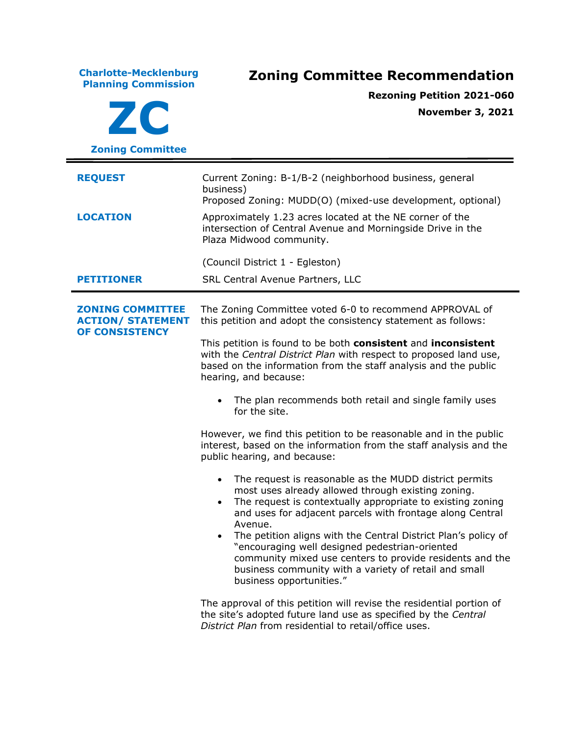| <b>Charlotte-Mecklenburg</b><br><b>Planning Commission</b><br><b>ZC</b><br><b>Zoning Committee</b> | <b>Zoning Committee Recommendation</b><br><b>Rezoning Petition 2021-060</b><br><b>November 3, 2021</b>                                                                                                                                                                                                                                                                                                                                                                                                                                            |  |
|----------------------------------------------------------------------------------------------------|---------------------------------------------------------------------------------------------------------------------------------------------------------------------------------------------------------------------------------------------------------------------------------------------------------------------------------------------------------------------------------------------------------------------------------------------------------------------------------------------------------------------------------------------------|--|
| <b>REQUEST</b>                                                                                     | Current Zoning: B-1/B-2 (neighborhood business, general<br>business)                                                                                                                                                                                                                                                                                                                                                                                                                                                                              |  |
| <b>LOCATION</b>                                                                                    | Proposed Zoning: MUDD(O) (mixed-use development, optional)<br>Approximately 1.23 acres located at the NE corner of the<br>intersection of Central Avenue and Morningside Drive in the<br>Plaza Midwood community.                                                                                                                                                                                                                                                                                                                                 |  |
|                                                                                                    | (Council District 1 - Egleston)                                                                                                                                                                                                                                                                                                                                                                                                                                                                                                                   |  |
| <b>PETITIONER</b>                                                                                  | SRL Central Avenue Partners, LLC                                                                                                                                                                                                                                                                                                                                                                                                                                                                                                                  |  |
| <b>ZONING COMMITTEE</b><br><b>ACTION/ STATEMENT</b><br><b>OF CONSISTENCY</b>                       | The Zoning Committee voted 6-0 to recommend APPROVAL of<br>this petition and adopt the consistency statement as follows:<br>This petition is found to be both <b>consistent</b> and <b>inconsistent</b><br>with the Central District Plan with respect to proposed land use,<br>based on the information from the staff analysis and the public<br>hearing, and because:                                                                                                                                                                          |  |
|                                                                                                    | The plan recommends both retail and single family uses<br>for the site.                                                                                                                                                                                                                                                                                                                                                                                                                                                                           |  |
|                                                                                                    | However, we find this petition to be reasonable and in the public<br>interest, based on the information from the staff analysis and the<br>public hearing, and because:                                                                                                                                                                                                                                                                                                                                                                           |  |
|                                                                                                    | The request is reasonable as the MUDD district permits<br>most uses already allowed through existing zoning.<br>The request is contextually appropriate to existing zoning<br>$\bullet$<br>and uses for adjacent parcels with frontage along Central<br>Avenue.<br>The petition aligns with the Central District Plan's policy of<br>$\bullet$<br>"encouraging well designed pedestrian-oriented<br>community mixed use centers to provide residents and the<br>business community with a variety of retail and small<br>business opportunities." |  |
|                                                                                                    | The approval of this petition will revise the residential portion of<br>the site's adopted future land use as specified by the Central<br>District Plan from residential to retail/office uses.                                                                                                                                                                                                                                                                                                                                                   |  |